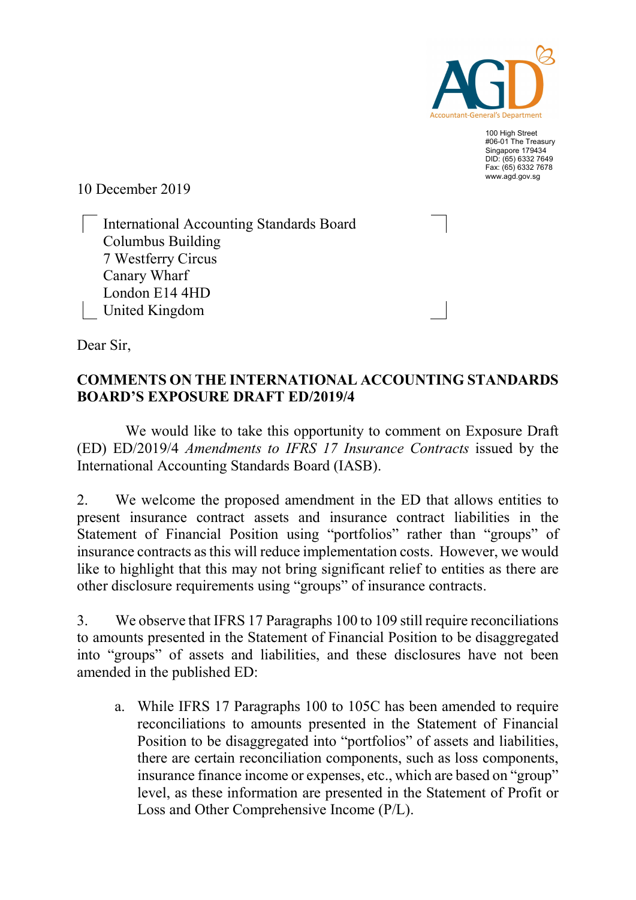

100 High Street #06-01 The Treasury Singapore 179434 DID: (65) 6332 7649 Fax: (65) 6332 7678 www.agd.gov.sg

10 December 2019

 International Accounting Standards Board Columbus Building 7 Westferry Circus Canary Wharf London E14 4HD United Kingdom

Dear Sir,

## COMMENTS ON THE INTERNATIONAL ACCOUNTING STANDARDS BOARD'S EXPOSURE DRAFT ED/2019/4

 We would like to take this opportunity to comment on Exposure Draft (ED) ED/2019/4 Amendments to IFRS 17 Insurance Contracts issued by the International Accounting Standards Board (IASB).

2. We welcome the proposed amendment in the ED that allows entities to present insurance contract assets and insurance contract liabilities in the Statement of Financial Position using "portfolios" rather than "groups" of insurance contracts as this will reduce implementation costs. However, we would like to highlight that this may not bring significant relief to entities as there are other disclosure requirements using "groups" of insurance contracts.

3. We observe that IFRS 17 Paragraphs 100 to 109 still require reconciliations to amounts presented in the Statement of Financial Position to be disaggregated into "groups" of assets and liabilities, and these disclosures have not been amended in the published ED:

a. While IFRS 17 Paragraphs 100 to 105C has been amended to require reconciliations to amounts presented in the Statement of Financial Position to be disaggregated into "portfolios" of assets and liabilities, there are certain reconciliation components, such as loss components, insurance finance income or expenses, etc., which are based on "group" level, as these information are presented in the Statement of Profit or Loss and Other Comprehensive Income (P/L).